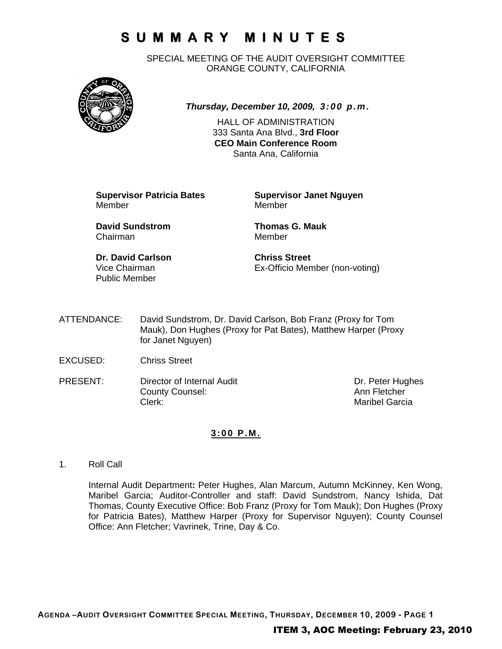# **SUMMARY MINUTES**

SPECIAL MEETING OF THE AUDIT OVERSIGHT COMMITTEE ORANGE COUNTY, CALIFORNIA



*Thursday, December 10, 2009, 3:00 p.m.*

HALL OF ADMINISTRATION 333 Santa Ana Blvd., **3rd Floor CEO Main Conference Room**  Santa Ana, California

**Supervisor Patricia Bates Supervisor Janet Nguyen** Member Member

**David Sundstrom Thomas G. Mauk**  Chairman Member

**Dr. David Carlson Chriss Street** Public Member

Vice Chairman Ex-Officio Member (non-voting)

- ATTENDANCE: David Sundstrom, Dr. David Carlson, Bob Franz (Proxy for Tom Mauk), Don Hughes (Proxy for Pat Bates), Matthew Harper (Proxy for Janet Nguyen)
- EXCUSED: Chriss Street
- PRESENT: Director of Internal Audit Dr. Peter Hughes County Counsel: Counsel: Ann Fletcher<br>
Clerk: Maribel Garci

Maribel Garcia

### **3:00 P.M.**

1. Roll Call

Internal Audit Department**:** Peter Hughes, Alan Marcum, Autumn McKinney, Ken Wong, Maribel Garcia; Auditor-Controller and staff: David Sundstrom, Nancy Ishida, Dat Thomas, County Executive Office: Bob Franz (Proxy for Tom Mauk); Don Hughes (Proxy for Patricia Bates), Matthew Harper (Proxy for Supervisor Nguyen); County Counsel Office: Ann Fletcher; Vavrinek, Trine, Day & Co.

**AGENDA –AUDIT OVERSIGHT COMMITTEE SPECIAL MEETING, THURSDAY, DECEMBER 10, 2009 - PAGE 1**